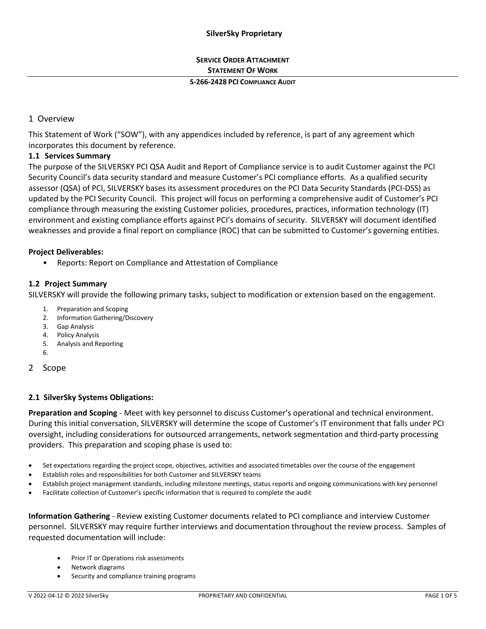# **SERVICE ORDER ATTACHMENT STATEMENT OF WORK**

#### **S-266-2428 PCI COMPLIANCE AUDIT**

# 1 Overview

This Statement of Work ("SOW"), with any appendices included by reference, is part of any agreement which incorporates this document by reference.

## **1.1 Services Summary**

The purpose of the SILVERSKY PCI QSA Audit and Report of Compliance service is to audit Customer against the PCI Security Council's data security standard and measure Customer's PCI compliance efforts. As a qualified security assessor (QSA) of PCI, SILVERSKY bases its assessment procedures on the PCI Data Security Standards (PCI-DSS) as updated by the PCI Security Council. This project will focus on performing a comprehensive audit of Customer's PCI compliance through measuring the existing Customer policies, procedures, practices, information technology (IT) environment and existing compliance efforts against PCI's domains of security. SILVERSKY will document identified weaknesses and provide a final report on compliance (ROC) that can be submitted to Customer's governing entities.

## **Project Deliverables:**

• Reports: Report on Compliance and Attestation of Compliance

## **1.2 Project Summary**

SILVERSKY will provide the following primary tasks, subject to modification or extension based on the engagement.

- 1. Preparation and Scoping
- 2. Information Gathering/Discovery
- 3. Gap Analysis
- 4. Policy Analysis
- 5. Analysis and Reporting
- 6.

## 2 Scope

# **2.1 SilverSky Systems Obligations:**

**Preparation and Scoping** - Meet with key personnel to discuss Customer's operational and technical environment. During this initial conversation, SILVERSKY will determine the scope of Customer's IT environment that falls under PCI oversight, including considerations for outsourced arrangements, network segmentation and third-party processing providers. This preparation and scoping phase is used to:

- Set expectations regarding the project scope, objectives, activities and associated timetables over the course of the engagement
- Establish roles and responsibilities for both Customer and SILVERSKY teams
- Establish project management standards, including milestone meetings, status reports and ongoing communications with key personnel
- Facilitate collection of Customer's specific information that is required to complete the audit

**Information Gathering** - Review existing Customer documents related to PCI compliance and interview Customer personnel. SILVERSKY may require further interviews and documentation throughout the review process. Samples of requested documentation will include:

- Prior IT or Operations risk assessments
- Network diagrams
- Security and compliance training programs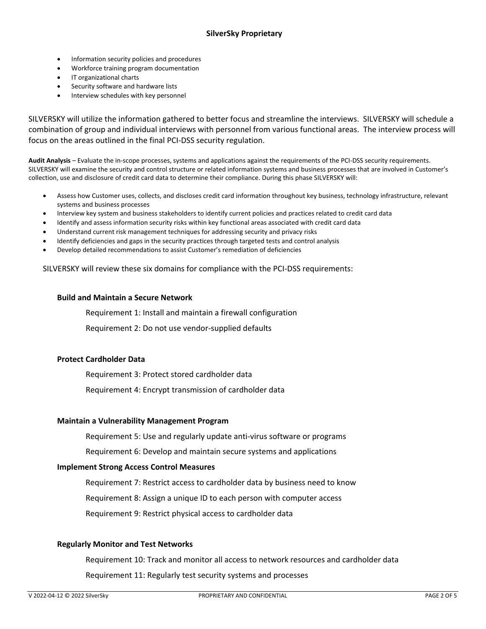- Information security policies and procedures
- Workforce training program documentation
- IT organizational charts
- Security software and hardware lists
- Interview schedules with key personnel

SILVERSKY will utilize the information gathered to better focus and streamline the interviews. SILVERSKY will schedule a combination of group and individual interviews with personnel from various functional areas. The interview process will focus on the areas outlined in the final PCI-DSS security regulation.

**Audit Analysis** – Evaluate the in-scope processes, systems and applications against the requirements of the PCI-DSS security requirements. SILVERSKY will examine the security and control structure or related information systems and business processes that are involved in Customer's collection, use and disclosure of credit card data to determine their compliance. During this phase SILVERSKY will:

- Assess how Customer uses, collects, and discloses credit card information throughout key business, technology infrastructure, relevant systems and business processes
- Interview key system and business stakeholders to identify current policies and practices related to credit card data
- Identify and assess information security risks within key functional areas associated with credit card data
- Understand current risk management techniques for addressing security and privacy risks
- Identify deficiencies and gaps in the security practices through targeted tests and control analysis
- Develop detailed recommendations to assist Customer's remediation of deficiencies

SILVERSKY will review these six domains for compliance with the PCI-DSS requirements:

## **Build and Maintain a Secure Network**

Requirement 1: Install and maintain a firewall configuration

Requirement 2: Do not use vendor-supplied defaults

## **Protect Cardholder Data**

Requirement 3: Protect stored cardholder data Requirement 4: Encrypt transmission of cardholder data

#### **Maintain a Vulnerability Management Program**

Requirement 5: Use and regularly update anti-virus software or programs

Requirement 6: Develop and maintain secure systems and applications

#### **Implement Strong Access Control Measures**

Requirement 7: Restrict access to cardholder data by business need to know

Requirement 8: Assign a unique ID to each person with computer access

Requirement 9: Restrict physical access to cardholder data

#### **Regularly Monitor and Test Networks**

Requirement 10: Track and monitor all access to network resources and cardholder data Requirement 11: Regularly test security systems and processes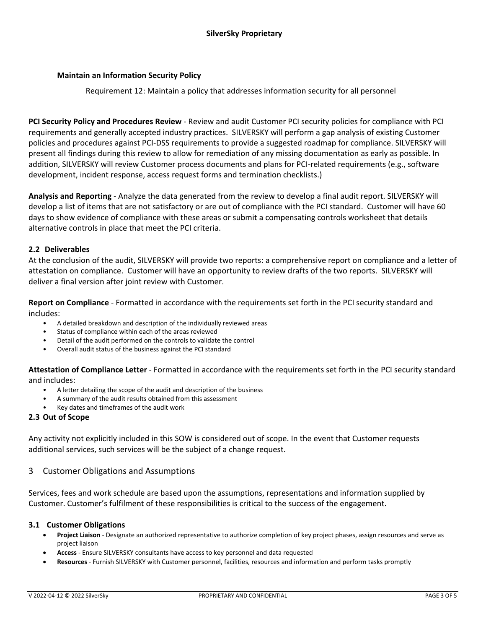## **Maintain an Information Security Policy**

Requirement 12: Maintain a policy that addresses information security for all personnel

**PCI Security Policy and Procedures Review** - Review and audit Customer PCI security policies for compliance with PCI requirements and generally accepted industry practices. SILVERSKY will perform a gap analysis of existing Customer policies and procedures against PCI-DSS requirements to provide a suggested roadmap for compliance. SILVERSKY will present all findings during this review to allow for remediation of any missing documentation as early as possible. In addition, SILVERSKY will review Customer process documents and plans for PCI-related requirements (e.g., software development, incident response, access request forms and termination checklists.)

**Analysis and Reporting** - Analyze the data generated from the review to develop a final audit report. SILVERSKY will develop a list of items that are not satisfactory or are out of compliance with the PCI standard. Customer will have 60 days to show evidence of compliance with these areas or submit a compensating controls worksheet that details alternative controls in place that meet the PCI criteria.

## **2.2 Deliverables**

At the conclusion of the audit, SILVERSKY will provide two reports: a comprehensive report on compliance and a letter of attestation on compliance. Customer will have an opportunity to review drafts of the two reports. SILVERSKY will deliver a final version after joint review with Customer.

**Report on Compliance** - Formatted in accordance with the requirements set forth in the PCI security standard and includes:

- A detailed breakdown and description of the individually reviewed areas
- Status of compliance within each of the areas reviewed
- Detail of the audit performed on the controls to validate the control
- Overall audit status of the business against the PCI standard

**Attestation of Compliance Letter** - Formatted in accordance with the requirements set forth in the PCI security standard and includes:

- A letter detailing the scope of the audit and description of the business
- A summary of the audit results obtained from this assessment
- Key dates and timeframes of the audit work

#### **2.3 Out of Scope**

Any activity not explicitly included in this SOW is considered out of scope. In the event that Customer requests additional services, such services will be the subject of a change request.

#### 3 Customer Obligations and Assumptions

Services, fees and work schedule are based upon the assumptions, representations and information supplied by Customer. Customer's fulfilment of these responsibilities is critical to the success of the engagement.

#### **3.1 Customer Obligations**

- **Project Liaison** Designate an authorized representative to authorize completion of key project phases, assign resources and serve as project liaison
- **Access**  Ensure SILVERSKY consultants have access to key personnel and data requested
- **Resources** Furnish SILVERSKY with Customer personnel, facilities, resources and information and perform tasks promptly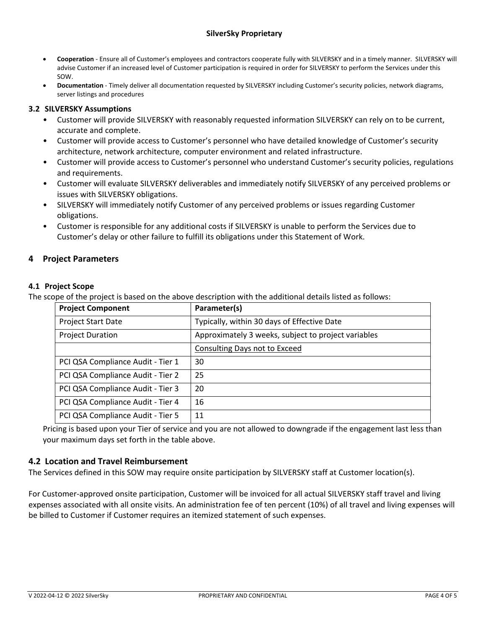# **SilverSky Proprietary**

- **Cooperation** Ensure all of Customer's employees and contractors cooperate fully with SILVERSKY and in a timely manner. SILVERSKY will advise Customer if an increased level of Customer participation is required in order for SILVERSKY to perform the Services under this SOW.
- **Documentation** Timely deliver all documentation requested by SILVERSKY including Customer's security policies, network diagrams, server listings and procedures

## **3.2 SILVERSKY Assumptions**

- Customer will provide SILVERSKY with reasonably requested information SILVERSKY can rely on to be current, accurate and complete.
- Customer will provide access to Customer's personnel who have detailed knowledge of Customer's security architecture, network architecture, computer environment and related infrastructure.
- Customer will provide access to Customer's personnel who understand Customer's security policies, regulations and requirements.
- Customer will evaluate SILVERSKY deliverables and immediately notify SILVERSKY of any perceived problems or issues with SILVERSKY obligations.
- SILVERSKY will immediately notify Customer of any perceived problems or issues regarding Customer obligations.
- Customer is responsible for any additional costs if SILVERSKY is unable to perform the Services due to Customer's delay or other failure to fulfill its obligations under this Statement of Work.

# **4 Project Parameters**

## **4.1 Project Scope**

The scope of the project is based on the above description with the additional details listed as follows:

| <b>Project Component</b>          | Parameter(s)                                        |
|-----------------------------------|-----------------------------------------------------|
| <b>Project Start Date</b>         | Typically, within 30 days of Effective Date         |
| <b>Project Duration</b>           | Approximately 3 weeks, subject to project variables |
|                                   | Consulting Days not to Exceed                       |
| PCI QSA Compliance Audit - Tier 1 | 30                                                  |
| PCI QSA Compliance Audit - Tier 2 | 25                                                  |
| PCI QSA Compliance Audit - Tier 3 | 20                                                  |
| PCI QSA Compliance Audit - Tier 4 | 16                                                  |
| PCI QSA Compliance Audit - Tier 5 | 11                                                  |

Pricing is based upon your Tier of service and you are not allowed to downgrade if the engagement last less than your maximum days set forth in the table above.

# **4.2 Location and Travel Reimbursement**

The Services defined in this SOW may require onsite participation by SILVERSKY staff at Customer location(s).

For Customer-approved onsite participation, Customer will be invoiced for all actual SILVERSKY staff travel and living expenses associated with all onsite visits. An administration fee of ten percent (10%) of all travel and living expenses will be billed to Customer if Customer requires an itemized statement of such expenses.